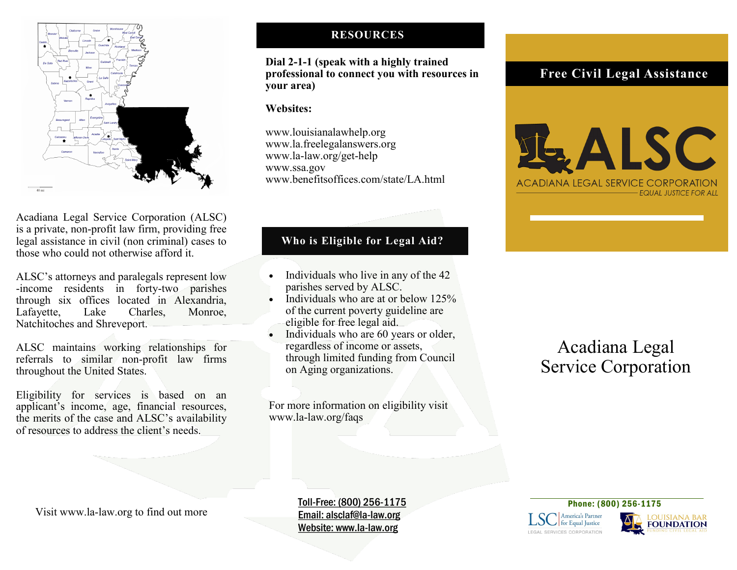

Acadiana Legal Service Corporation (ALSC) is a private, non-profit law firm, providing free legal assistance in civil (non criminal) cases to those who could not otherwise afford it.

ALSC's attorneys and paralegals represent low -income residents in forty-two parishes through six offices located in Alexandria, Lafayette, Lake Charles, Monroe, Natchitoches and Shreveport.

ALSC maintains working relationships for referrals to similar non-profit law firms throughout the United States.

Eligibility for services is based on an applicant's income, age, financial resources, the merits of the case and ALSC's availability of resources to address the client's needs.

## **RESOURCES**

## **Dial 2-1-1 (speak with a highly trained professional to connect you with resources in your area)**

#### **Websites:**

www.louisianalawhelp.org www.la.freelegalanswers.org www.la-law.org/get-help www.ssa.gov www.benefitsoffices.com/state/LA.html

# **Who is Eligible for Legal Aid?**

- Individuals who live in any of the 42 parishes served by ALSC.
- Individuals who are at or below 125% of the current poverty guideline are eligible for free legal aid.
- Individuals who are 60 years or older, regardless of income or assets, through limited funding from Council on Aging organizations.

For more information on eligibility visit www.la-law.org/faqs

# **Free Civil Legal Assistance**



# Acadiana Legal Service Corporation

Visit www.la-law.org to find out more

Toll-Free: (800) 256-1175 Email: alsclaf@la-law.org Website: www.la-law.org